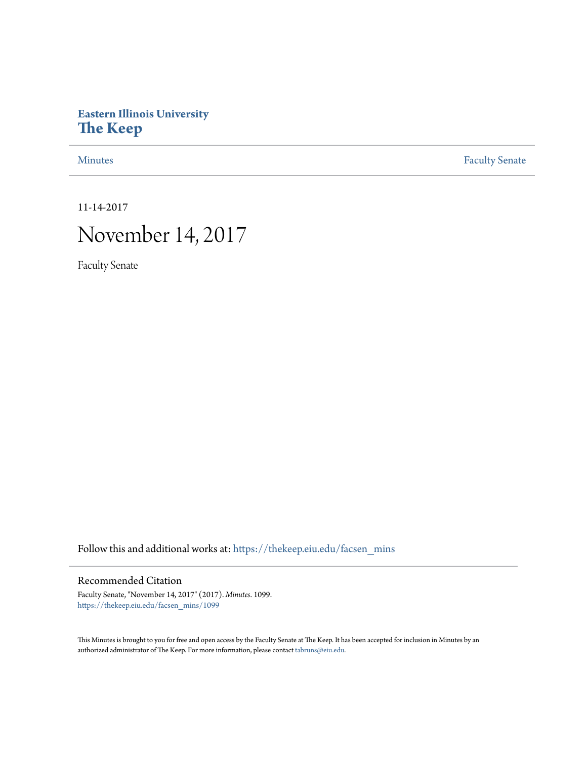# **Eastern Illinois University [The Keep](https://thekeep.eiu.edu?utm_source=thekeep.eiu.edu%2Ffacsen_mins%2F1099&utm_medium=PDF&utm_campaign=PDFCoverPages)**

[Minutes](https://thekeep.eiu.edu/facsen_mins?utm_source=thekeep.eiu.edu%2Ffacsen_mins%2F1099&utm_medium=PDF&utm_campaign=PDFCoverPages) **[Faculty Senate](https://thekeep.eiu.edu/fac_senate?utm_source=thekeep.eiu.edu%2Ffacsen_mins%2F1099&utm_medium=PDF&utm_campaign=PDFCoverPages)** 

11-14-2017

# November 14, 2017

Faculty Senate

Follow this and additional works at: [https://thekeep.eiu.edu/facsen\\_mins](https://thekeep.eiu.edu/facsen_mins?utm_source=thekeep.eiu.edu%2Ffacsen_mins%2F1099&utm_medium=PDF&utm_campaign=PDFCoverPages)

# Recommended Citation

Faculty Senate, "November 14, 2017" (2017). *Minutes*. 1099. [https://thekeep.eiu.edu/facsen\\_mins/1099](https://thekeep.eiu.edu/facsen_mins/1099?utm_source=thekeep.eiu.edu%2Ffacsen_mins%2F1099&utm_medium=PDF&utm_campaign=PDFCoverPages)

This Minutes is brought to you for free and open access by the Faculty Senate at The Keep. It has been accepted for inclusion in Minutes by an authorized administrator of The Keep. For more information, please contact [tabruns@eiu.edu](mailto:tabruns@eiu.edu).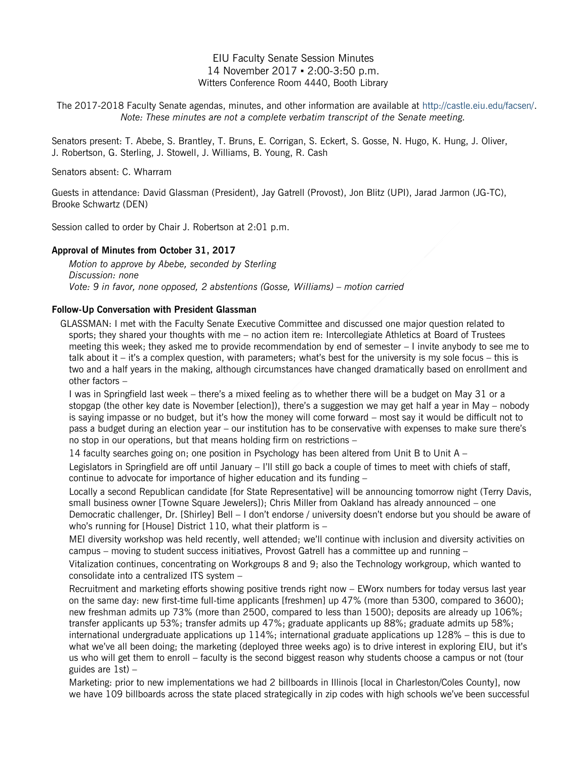# EIU Faculty Senate Session Minutes 14 November 2017 ▪ 2:00-3:50 p.m. Witters Conference Room 4440, Booth Library

The 2017-2018 Faculty Senate agendas, minutes, and other information are available at [http://castle.eiu.edu/facsen/.](http://castle.eiu.edu/facsen/) *Note: These minutes are not a complete verbatim transcript of the Senate meeting.*

Senators present: T. Abebe, S. Brantley, T. Bruns, E. Corrigan, S. Eckert, S. Gosse, N. Hugo, K. Hung, J. Oliver, J. Robertson, G. Sterling, J. Stowell, J. Williams, B. Young, R. Cash

Senators absent: C. Wharram

Guests in attendance: David Glassman (President), Jay Gatrell (Provost), Jon Blitz (UPI), Jarad Jarmon (JG-TC), Brooke Schwartz (DEN)

Session called to order by Chair J. Robertson at 2:01 p.m.

#### **Approval of Minutes from October 31, 2017**

*Motion to approve by Abebe, seconded by Sterling Discussion: none Vote: 9 in favor, none opposed, 2 abstentions (Gosse, Williams) – motion carried*

#### **Follow-Up Conversation with President Glassman**

GLASSMAN: I met with the Faculty Senate Executive Committee and discussed one major question related to sports; they shared your thoughts with me – no action item re: Intercollegiate Athletics at Board of Trustees meeting this week; they asked me to provide recommendation by end of semester – I invite anybody to see me to talk about it – it's a complex question, with parameters; what's best for the university is my sole focus – this is two and a half years in the making, although circumstances have changed dramatically based on enrollment and other factors –

I was in Springfield last week – there's a mixed feeling as to whether there will be a budget on May 31 or a stopgap (the other key date is November [election]), there's a suggestion we may get half a year in May – nobody is saying impasse or no budget, but it's how the money will come forward – most say it would be difficult not to pass a budget during an election year – our institution has to be conservative with expenses to make sure there's no stop in our operations, but that means holding firm on restrictions –

14 faculty searches going on; one position in Psychology has been altered from Unit B to Unit A – Legislators in Springfield are off until January – I'll still go back a couple of times to meet with chiefs of staff, continue to advocate for importance of higher education and its funding –

Locally a second Republican candidate [for State Representative] will be announcing tomorrow night (Terry Davis, small business owner [Towne Square Jewelers]); Chris Miller from Oakland has already announced – one Democratic challenger, Dr. [Shirley] Bell – I don't endorse / university doesn't endorse but you should be aware of who's running for [House] District 110, what their platform is -

MEI diversity workshop was held recently, well attended; we'll continue with inclusion and diversity activities on campus – moving to student success initiatives, Provost Gatrell has a committee up and running –

Vitalization continues, concentrating on Workgroups 8 and 9; also the Technology workgroup, which wanted to consolidate into a centralized ITS system –

Recruitment and marketing efforts showing positive trends right now – EWorx numbers for today versus last year on the same day: new first-time full-time applicants [freshmen] up 47% (more than 5300, compared to 3600); new freshman admits up 73% (more than 2500, compared to less than 1500); deposits are already up 106%; transfer applicants up 53%; transfer admits up 47%; graduate applicants up 88%; graduate admits up 58%; international undergraduate applications up 114%; international graduate applications up 128% – this is due to what we've all been doing; the marketing (deployed three weeks ago) is to drive interest in exploring EIU, but it's us who will get them to enroll – faculty is the second biggest reason why students choose a campus or not (tour guides are  $1st$ ) –

Marketing: prior to new implementations we had 2 billboards in Illinois [local in Charleston/Coles County], now we have 109 billboards across the state placed strategically in zip codes with high schools we've been successful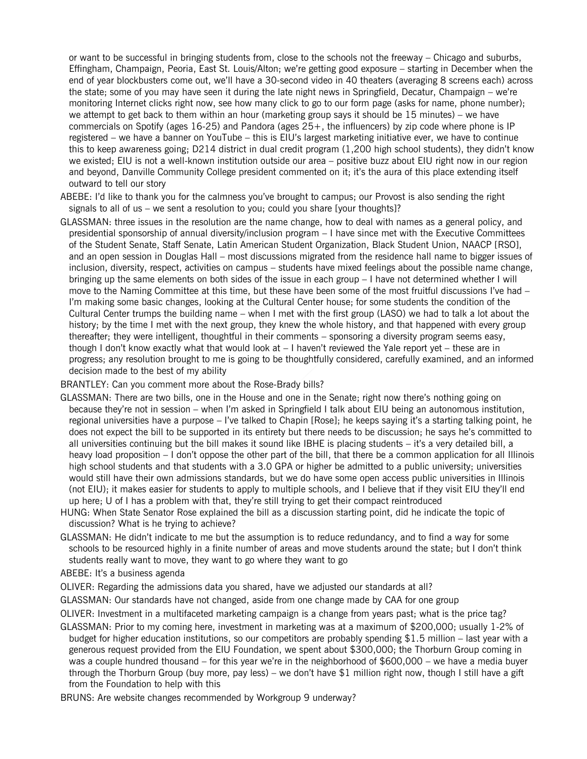or want to be successful in bringing students from, close to the schools not the freeway – Chicago and suburbs, Effingham, Champaign, Peoria, East St. Louis/Alton; we're getting good exposure – starting in December when the end of year blockbusters come out, we'll have a 30-second video in 40 theaters (averaging 8 screens each) across the state; some of you may have seen it during the late night news in Springfield, Decatur, Champaign – we're monitoring Internet clicks right now, see how many click to go to our form page (asks for name, phone number); we attempt to get back to them within an hour (marketing group says it should be 15 minutes) – we have commercials on Spotify (ages 16-25) and Pandora (ages 25+, the influencers) by zip code where phone is IP registered – we have a banner on YouTube – this is EIU's largest marketing initiative ever, we have to continue this to keep awareness going; D214 district in dual credit program (1,200 high school students), they didn't know we existed; EIU is not a well-known institution outside our area – positive buzz about EIU right now in our region and beyond, Danville Community College president commented on it; it's the aura of this place extending itself outward to tell our story

- ABEBE: I'd like to thank you for the calmness you've brought to campus; our Provost is also sending the right signals to all of us – we sent a resolution to you; could you share [your thoughts]?
- GLASSMAN: three issues in the resolution are the name change, how to deal with names as a general policy, and presidential sponsorship of annual diversity/inclusion program – I have since met with the Executive Committees of the Student Senate, Staff Senate, Latin American Student Organization, Black Student Union, NAACP [RSO], and an open session in Douglas Hall – most discussions migrated from the residence hall name to bigger issues of inclusion, diversity, respect, activities on campus – students have mixed feelings about the possible name change, bringing up the same elements on both sides of the issue in each group – I have not determined whether I will move to the Naming Committee at this time, but these have been some of the most fruitful discussions I've had – I'm making some basic changes, looking at the Cultural Center house; for some students the condition of the Cultural Center trumps the building name – when I met with the first group (LASO) we had to talk a lot about the history; by the time I met with the next group, they knew the whole history, and that happened with every group thereafter; they were intelligent, thoughtful in their comments – sponsoring a diversity program seems easy, though I don't know exactly what that would look at – I haven't reviewed the Yale report yet – these are in progress; any resolution brought to me is going to be thoughtfully considered, carefully examined, and an informed decision made to the best of my ability

#### BRANTLEY: Can you comment more about the Rose-Brady bills?

- GLASSMAN: There are two bills, one in the House and one in the Senate; right now there's nothing going on because they're not in session – when I'm asked in Springfield I talk about EIU being an autonomous institution, regional universities have a purpose – I've talked to Chapin [Rose]; he keeps saying it's a starting talking point, he does not expect the bill to be supported in its entirety but there needs to be discussion; he says he's committed to all universities continuing but the bill makes it sound like IBHE is placing students – it's a very detailed bill, a heavy load proposition – I don't oppose the other part of the bill, that there be a common application for all Illinois high school students and that students with a 3.0 GPA or higher be admitted to a public university; universities would still have their own admissions standards, but we do have some open access public universities in Illinois (not EIU); it makes easier for students to apply to multiple schools, and I believe that if they visit EIU they'll end up here; U of I has a problem with that, they're still trying to get their compact reintroduced
- HUNG: When State Senator Rose explained the bill as a discussion starting point, did he indicate the topic of discussion? What is he trying to achieve?
- GLASSMAN: He didn't indicate to me but the assumption is to reduce redundancy, and to find a way for some schools to be resourced highly in a finite number of areas and move students around the state; but I don't think students really want to move, they want to go where they want to go
- ABEBE: It's a business agenda
- OLIVER: Regarding the admissions data you shared, have we adjusted our standards at all?
- GLASSMAN: Our standards have not changed, aside from one change made by CAA for one group
- OLIVER: Investment in a multifaceted marketing campaign is a change from years past; what is the price tag?
- GLASSMAN: Prior to my coming here, investment in marketing was at a maximum of \$200,000; usually 1-2% of budget for higher education institutions, so our competitors are probably spending \$1.5 million – last year with a generous request provided from the EIU Foundation, we spent about \$300,000; the Thorburn Group coming in was a couple hundred thousand – for this year we're in the neighborhood of \$600,000 – we have a media buyer through the Thorburn Group (buy more, pay less) – we don't have \$1 million right now, though I still have a gift from the Foundation to help with this
- BRUNS: Are website changes recommended by Workgroup 9 underway?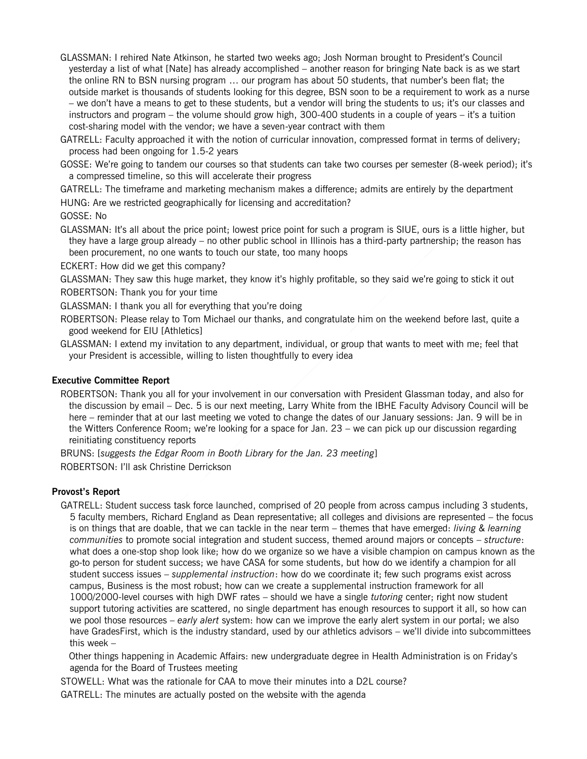- GLASSMAN: I rehired Nate Atkinson, he started two weeks ago; Josh Norman brought to President's Council yesterday a list of what [Nate] has already accomplished – another reason for bringing Nate back is as we start the online RN to BSN nursing program … our program has about 50 students, that number's been flat; the outside market is thousands of students looking for this degree, BSN soon to be a requirement to work as a nurse – we don't have a means to get to these students, but a vendor will bring the students to us; it's our classes and instructors and program – the volume should grow high, 300-400 students in a couple of years – it's a tuition cost-sharing model with the vendor; we have a seven-year contract with them
- GATRELL: Faculty approached it with the notion of curricular innovation, compressed format in terms of delivery; process had been ongoing for 1.5-2 years
- GOSSE: We're going to tandem our courses so that students can take two courses per semester (8-week period); it's a compressed timeline, so this will accelerate their progress
- GATRELL: The timeframe and marketing mechanism makes a difference; admits are entirely by the department
- HUNG: Are we restricted geographically for licensing and accreditation?

GOSSE: No

- GLASSMAN: It's all about the price point; lowest price point for such a program is SIUE, ours is a little higher, but they have a large group already – no other public school in Illinois has a third-party partnership; the reason has been procurement, no one wants to touch our state, too many hoops
- ECKERT: How did we get this company?
- GLASSMAN: They saw this huge market, they know it's highly profitable, so they said we're going to stick it out ROBERTSON: Thank you for your time
- GLASSMAN: I thank you all for everything that you're doing
- ROBERTSON: Please relay to Tom Michael our thanks, and congratulate him on the weekend before last, quite a good weekend for EIU [Athletics]
- GLASSMAN: I extend my invitation to any department, individual, or group that wants to meet with me; feel that your President is accessible, willing to listen thoughtfully to every idea

#### **Executive Committee Report**

ROBERTSON: Thank you all for your involvement in our conversation with President Glassman today, and also for the discussion by email – Dec. 5 is our next meeting, Larry White from the IBHE Faculty Advisory Council will be here – reminder that at our last meeting we voted to change the dates of our January sessions: Jan. 9 will be in the Witters Conference Room; we're looking for a space for Jan. 23 – we can pick up our discussion regarding reinitiating constituency reports

BRUNS: [*suggests the Edgar Room in Booth Library for the Jan. 23 meeting*] ROBERTSON: I'll ask Christine Derrickson

#### **Provost's Report**

GATRELL: Student success task force launched, comprised of 20 people from across campus including 3 students, 5 faculty members, Richard England as Dean representative; all colleges and divisions are represented – the focus is on things that are doable, that we can tackle in the near term – themes that have emerged: *living & learning communities* to promote social integration and student success, themed around majors or concepts – *structure*: what does a one-stop shop look like; how do we organize so we have a visible champion on campus known as the go-to person for student success; we have CASA for some students, but how do we identify a champion for all student success issues – *supplemental instruction*: how do we coordinate it; few such programs exist across campus, Business is the most robust; how can we create a supplemental instruction framework for all 1000/2000-level courses with high DWF rates – should we have a single *tutoring* center; right now student support tutoring activities are scattered, no single department has enough resources to support it all, so how can we pool those resources – *early alert* system: how can we improve the early alert system in our portal; we also have GradesFirst, which is the industry standard, used by our athletics advisors – we'll divide into subcommittees this week –

Other things happening in Academic Affairs: new undergraduate degree in Health Administration is on Friday's agenda for the Board of Trustees meeting

STOWELL: What was the rationale for CAA to move their minutes into a D2L course?

GATRELL: The minutes are actually posted on the website with the agenda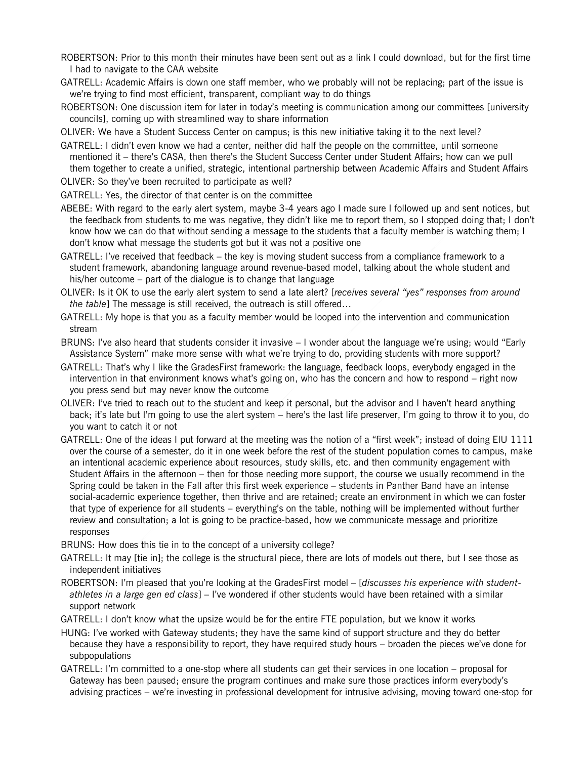ROBERTSON: Prior to this month their minutes have been sent out as a link I could download, but for the first time I had to navigate to the CAA website

GATRELL: Academic Affairs is down one staff member, who we probably will not be replacing; part of the issue is we're trying to find most efficient, transparent, compliant way to do things

ROBERTSON: One discussion item for later in today's meeting is communication among our committees [university councils], coming up with streamlined way to share information

OLIVER: We have a Student Success Center on campus; is this new initiative taking it to the next level?

GATRELL: I didn't even know we had a center, neither did half the people on the committee, until someone mentioned it – there's CASA, then there's the Student Success Center under Student Affairs; how can we pull them together to create a unified, strategic, intentional partnership between Academic Affairs and Student Affairs

OLIVER: So they've been recruited to participate as well?

GATRELL: Yes, the director of that center is on the committee

- ABEBE: With regard to the early alert system, maybe 3-4 years ago I made sure I followed up and sent notices, but the feedback from students to me was negative, they didn't like me to report them, so I stopped doing that; I don't know how we can do that without sending a message to the students that a faculty member is watching them; I don't know what message the students got but it was not a positive one
- GATRELL: I've received that feedback the key is moving student success from a compliance framework to a student framework, abandoning language around revenue-based model, talking about the whole student and his/her outcome – part of the dialogue is to change that language
- OLIVER: Is it OK to use the early alert system to send a late alert? [*receives several "yes" responses from around the table*] The message is still received, the outreach is still offered…

GATRELL: My hope is that you as a faculty member would be looped into the intervention and communication stream

BRUNS: I've also heard that students consider it invasive – I wonder about the language we're using; would "Early Assistance System" make more sense with what we're trying to do, providing students with more support?

- GATRELL: That's why I like the GradesFirst framework: the language, feedback loops, everybody engaged in the intervention in that environment knows what's going on, who has the concern and how to respond – right now you press send but may never know the outcome
- OLIVER: I've tried to reach out to the student and keep it personal, but the advisor and I haven't heard anything back; it's late but I'm going to use the alert system – here's the last life preserver, I'm going to throw it to you, do you want to catch it or not
- GATRELL: One of the ideas I put forward at the meeting was the notion of a "first week"; instead of doing EIU 1111 over the course of a semester, do it in one week before the rest of the student population comes to campus, make an intentional academic experience about resources, study skills, etc. and then community engagement with Student Affairs in the afternoon – then for those needing more support, the course we usually recommend in the Spring could be taken in the Fall after this first week experience – students in Panther Band have an intense social-academic experience together, then thrive and are retained; create an environment in which we can foster that type of experience for all students – everything's on the table, nothing will be implemented without further review and consultation; a lot is going to be practice-based, how we communicate message and prioritize responses

BRUNS: How does this tie in to the concept of a university college?

- GATRELL: It may [tie in]; the college is the structural piece, there are lots of models out there, but I see those as independent initiatives
- ROBERTSON: I'm pleased that you're looking at the GradesFirst model [*discusses his experience with studentathletes in a large gen ed class*] – I've wondered if other students would have been retained with a similar support network
- GATRELL: I don't know what the upsize would be for the entire FTE population, but we know it works
- HUNG: I've worked with Gateway students; they have the same kind of support structure and they do better because they have a responsibility to report, they have required study hours – broaden the pieces we've done for subpopulations
- GATRELL: I'm committed to a one-stop where all students can get their services in one location proposal for Gateway has been paused; ensure the program continues and make sure those practices inform everybody's advising practices – we're investing in professional development for intrusive advising, moving toward one-stop for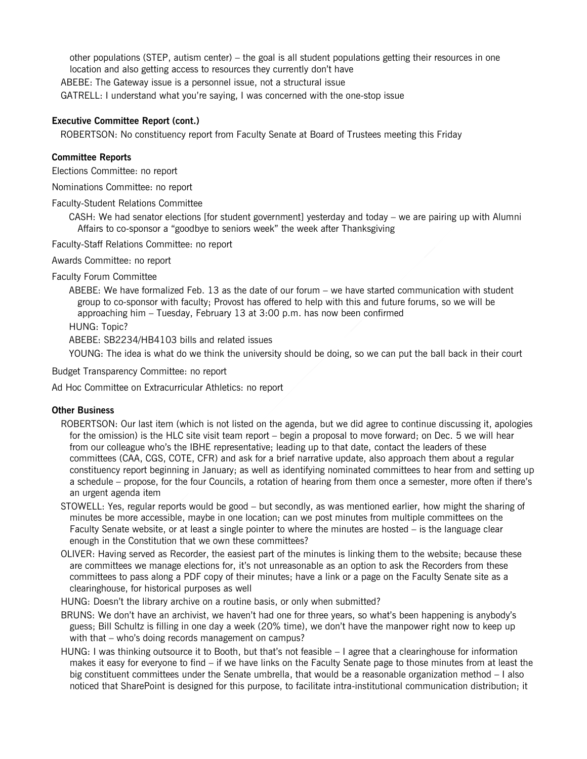other populations (STEP, autism center) – the goal is all student populations getting their resources in one location and also getting access to resources they currently don't have ABEBE: The Gateway issue is a personnel issue, not a structural issue GATRELL: I understand what you're saying, I was concerned with the one-stop issue

# **Executive Committee Report (cont.)**

ROBERTSON: No constituency report from Faculty Senate at Board of Trustees meeting this Friday

# **Committee Reports**

Elections Committee: no report

Nominations Committee: no report

Faculty-Student Relations Committee

CASH: We had senator elections [for student government] yesterday and today – we are pairing up with Alumni Affairs to co-sponsor a "goodbye to seniors week" the week after Thanksgiving

Faculty-Staff Relations Committee: no report

Awards Committee: no report

Faculty Forum Committee

ABEBE: We have formalized Feb. 13 as the date of our forum – we have started communication with student group to co-sponsor with faculty; Provost has offered to help with this and future forums, so we will be approaching him – Tuesday, February 13 at 3:00 p.m. has now been confirmed

HUNG: Topic?

ABEBE: SB2234/HB4103 bills and related issues

YOUNG: The idea is what do we think the university should be doing, so we can put the ball back in their court

Budget Transparency Committee: no report

Ad Hoc Committee on Extracurricular Athletics: no report

## **Other Business**

- ROBERTSON: Our last item (which is not listed on the agenda, but we did agree to continue discussing it, apologies for the omission) is the HLC site visit team report – begin a proposal to move forward; on Dec. 5 we will hear from our colleague who's the IBHE representative; leading up to that date, contact the leaders of these committees (CAA, CGS, COTE, CFR) and ask for a brief narrative update, also approach them about a regular constituency report beginning in January; as well as identifying nominated committees to hear from and setting up a schedule – propose, for the four Councils, a rotation of hearing from them once a semester, more often if there's an urgent agenda item
- STOWELL: Yes, regular reports would be good but secondly, as was mentioned earlier, how might the sharing of minutes be more accessible, maybe in one location; can we post minutes from multiple committees on the Faculty Senate website, or at least a single pointer to where the minutes are hosted – is the language clear enough in the Constitution that we own these committees?
- OLIVER: Having served as Recorder, the easiest part of the minutes is linking them to the website; because these are committees we manage elections for, it's not unreasonable as an option to ask the Recorders from these committees to pass along a PDF copy of their minutes; have a link or a page on the Faculty Senate site as a clearinghouse, for historical purposes as well
- HUNG: Doesn't the library archive on a routine basis, or only when submitted?
- BRUNS: We don't have an archivist, we haven't had one for three years, so what's been happening is anybody's guess; Bill Schultz is filling in one day a week (20% time), we don't have the manpower right now to keep up with that – who's doing records management on campus?
- HUNG: I was thinking outsource it to Booth, but that's not feasible I agree that a clearinghouse for information makes it easy for everyone to find – if we have links on the Faculty Senate page to those minutes from at least the big constituent committees under the Senate umbrella, that would be a reasonable organization method – I also noticed that SharePoint is designed for this purpose, to facilitate intra-institutional communication distribution; it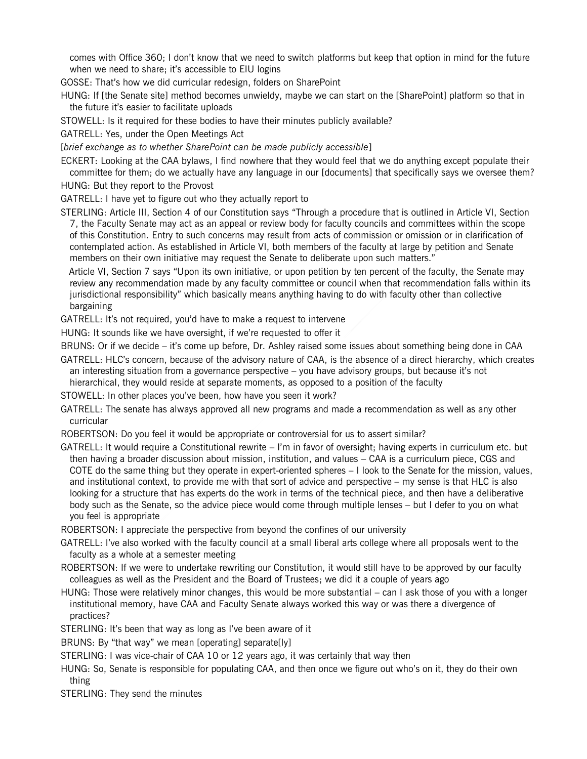comes with Office 360; I don't know that we need to switch platforms but keep that option in mind for the future when we need to share; it's accessible to EIU logins

GOSSE: That's how we did curricular redesign, folders on SharePoint

HUNG: If [the Senate site] method becomes unwieldy, maybe we can start on the [SharePoint] platform so that in the future it's easier to facilitate uploads

STOWELL: Is it required for these bodies to have their minutes publicly available?

GATRELL: Yes, under the Open Meetings Act

[*brief exchange as to whether SharePoint can be made publicly accessible*]

ECKERT: Looking at the CAA bylaws, I find nowhere that they would feel that we do anything except populate their committee for them; do we actually have any language in our [documents] that specifically says we oversee them?

HUNG: But they report to the Provost

GATRELL: I have yet to figure out who they actually report to

STERLING: Article III, Section 4 of our Constitution says "Through a procedure that is outlined in Article VI, Section 7, the Faculty Senate may act as an appeal or review body for faculty councils and committees within the scope of this Constitution. Entry to such concerns may result from acts of commission or omission or in clarification of contemplated action. As established in Article VI, both members of the faculty at large by petition and Senate members on their own initiative may request the Senate to deliberate upon such matters."

Article VI, Section 7 says "Upon its own initiative, or upon petition by ten percent of the faculty, the Senate may review any recommendation made by any faculty committee or council when that recommendation falls within its jurisdictional responsibility" which basically means anything having to do with faculty other than collective bargaining

GATRELL: It's not required, you'd have to make a request to intervene

HUNG: It sounds like we have oversight, if we're requested to offer it

BRUNS: Or if we decide – it's come up before, Dr. Ashley raised some issues about something being done in CAA

GATRELL: HLC's concern, because of the advisory nature of CAA, is the absence of a direct hierarchy, which creates an interesting situation from a governance perspective – you have advisory groups, but because it's not hierarchical, they would reside at separate moments, as opposed to a position of the faculty

STOWELL: In other places you've been, how have you seen it work?

GATRELL: The senate has always approved all new programs and made a recommendation as well as any other curricular

ROBERTSON: Do you feel it would be appropriate or controversial for us to assert similar?

GATRELL: It would require a Constitutional rewrite – I'm in favor of oversight; having experts in curriculum etc. but then having a broader discussion about mission, institution, and values – CAA is a curriculum piece, CGS and COTE do the same thing but they operate in expert-oriented spheres – I look to the Senate for the mission, values, and institutional context, to provide me with that sort of advice and perspective – my sense is that HLC is also looking for a structure that has experts do the work in terms of the technical piece, and then have a deliberative body such as the Senate, so the advice piece would come through multiple lenses – but I defer to you on what you feel is appropriate

ROBERTSON: I appreciate the perspective from beyond the confines of our university

GATRELL: I've also worked with the faculty council at a small liberal arts college where all proposals went to the faculty as a whole at a semester meeting

ROBERTSON: If we were to undertake rewriting our Constitution, it would still have to be approved by our faculty colleagues as well as the President and the Board of Trustees; we did it a couple of years ago

HUNG: Those were relatively minor changes, this would be more substantial – can I ask those of you with a longer institutional memory, have CAA and Faculty Senate always worked this way or was there a divergence of practices?

STERLING: It's been that way as long as I've been aware of it

BRUNS: By "that way" we mean [operating] separate[ly]

STERLING: I was vice-chair of CAA 10 or 12 years ago, it was certainly that way then

HUNG: So, Senate is responsible for populating CAA, and then once we figure out who's on it, they do their own thing

STERLING: They send the minutes